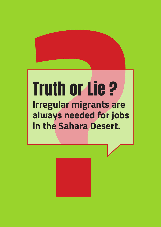### Truth or Lie ? **Irregular migrants are always needed for jobs in the Sahara Desert.**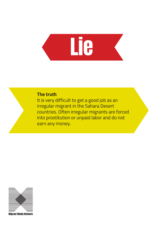## **Lie**

#### **The truth**

It is very difficult to get a good job as an irregular migrant in the Sahara Desert countries. Often irregular migrants are forced into prostitution or unpaid labor and do not earn any money.

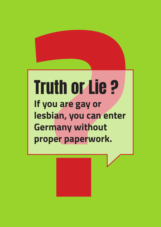### Truth or Lie ? **If you are gay or lesbian, you can enter Germany without proper paperwork.**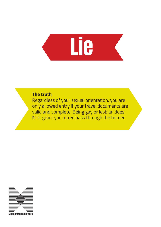

#### **The truth**

Regardless of your sexual orientation, you are only allowed entry if your travel documents are valid and complete. Being gay or lesbian does NOT grant you a free pass through the border.

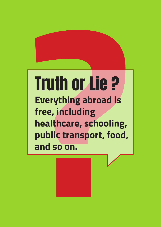### Truth or Lie ? **Everything abroad is free, including healthcare, schooling, public transport, food, and so on.**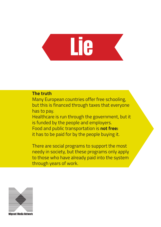# **Lie**

#### **The truth**

Many European countries offer free schooling, but this is financed through taxes that everyone has to pay.

Healthcare is run through the government, but it is funded by the people and employers. Food and public transportation is **not free:** it has to be paid for by the people buying it.

There are social programs to support the most needy in society, but these programs only apply to those who have already paid into the system through years of work.

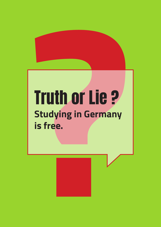### Truth or Lie ? **Studying in Germany is free.**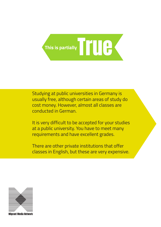

Studying at public universities in Germany is usually free, although certain areas of study do cost money. However, almost all classes are conducted in German.

It is very difficult to be accepted for your studies at a public university. You have to meet many requirements and have excellent grades.

There are other private institutions that offer classes in English, but these are very expensive.

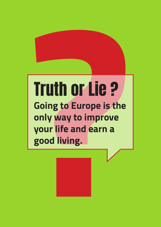### Truth or Lie ? **Going to Europe is the only way to improve your life and earn a good living.**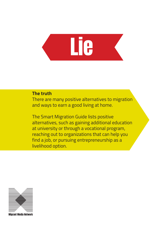

#### **The truth**

There are many positive alternatives to migration and ways to earn a good living at home.

The Smart Migration Guide lists positive alternatives, such as gaining additional education at university or through a vocational program, reaching out to organizations that can help you find a job, or pursuing entrepreneurship as a livelihood option.

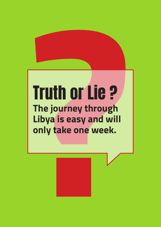### Truth or Lie ? **The journey through Libya is easy and will only take one week.**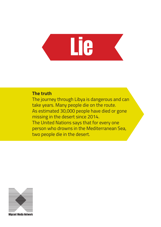# **Lie**

#### **The truth**

The journey through Libya is dangerous and can take years. Many people die on the route. As estimated 30,000 people have died or gone missing in the desert since 2014. The United Nations says that for every one person who drowns in the Mediterranean Sea, two people die in the desert.

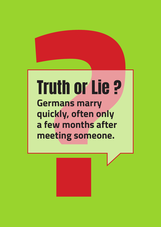### Truth or Lie ? **Germans marry quickly, often only a few months after meeting someone.**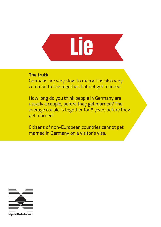# Lie

#### **The truth**

Germans are very slow to marry. It is also very common to live together, but not get married.

How long do you think people in Germany are usually a couple, before they get married? The average couple is together for 5 years before they get married!

Citizens of non-European countries cannot get married in Germany on a visitor's visa.

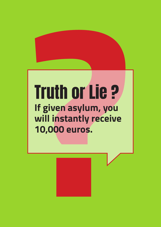### Truth or Lie ? **If given asylum, you will instantly receive 10,000 euros.**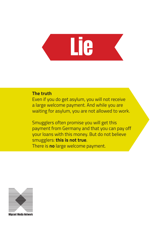# **Lie**

#### **The truth**

Even if you do get asylum, you will not receive a large welcome payment. And while you are waiting for asylum, you are not allowed to work.

Smugglers often promise you will get this payment from Germany and that you can pay off your loans with this money. But do not believe smugglers: **this is not true**. There is **no** large welcome payment.

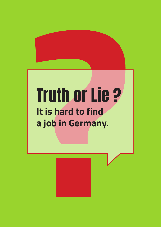## Truth or Lie ? **It is hard to find a job in Germany.**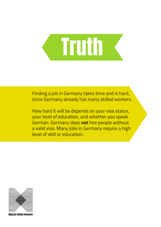## **Truth**

Finding a job in Germany takes time and is hard, since Germany already has many skilled workers.

How hard it will be depends on your visa status, your level of education, and whether you speak German. Germany does **not** hire people without a valid visa. Many jobs in Germany require a high level of skill or education.

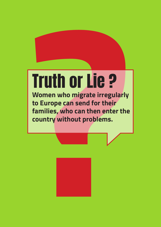## Truth or Lie ?

**Women who migrate irregularly to Europe can send for their families, who can then enter the country without problems.** 

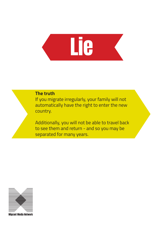

#### **The truth**

If you migrate irregularly, your family will not automatically have the right to enter the new country.

Additionally, you will not be able to travel back to see them and return - and so you may be separated for many years.

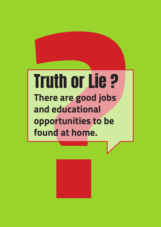### Truth or Lie ? **There are good jobs and educational opportunities to be found at home.**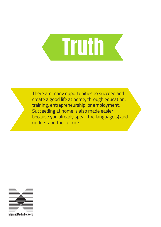

There are many opportunities to succeed and create a good life at home, through education, training, entrepreneurship, or employment. Succeeding at home is also made easier because you already speak the language(s) and understand the culture.

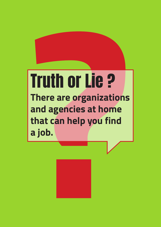### Truth or Lie ? **There are organizations and agencies at home that can help you find a job.**

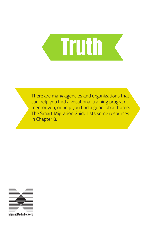

There are many agencies and organizations that can help you find a vocational training program, mentor you, or help you find a good job at home. The Smart Migration Guide lists some resources in Chapter 8.

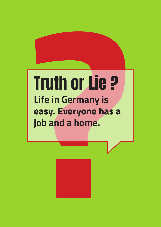### Truth or Lie ? **Life in Germany is easy. Everyone has a job and a home.**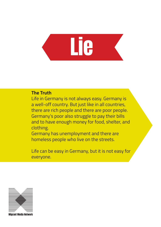# Lie

### **The Truth**

Life in Germany is not always easy. Germany is a well-off country. But just like in all countries, there are rich people and there are poor people. Germany's poor also struggle to pay their bills and to have enough money for food, shelter, and clothing.

Germany has unemployment and there are homeless people who live on the streets.

Life can be easy in Germany, but it is not easy for everyone.

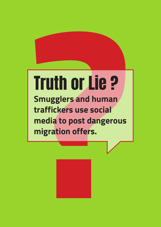## Truth or Lie ?

**Smugglers and human traffickers use social media to post dangerous migration offers.**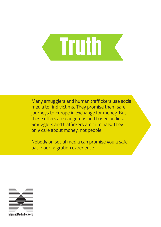

Many smugglers and human traffickers use social media to find victims. They promise them safe journeys to Europe in exchange for money. But these offers are dangerous and based on lies. Smugglers and traffickers are criminals. They only care about money, not people.

Nobody on social media can promise you a safe backdoor migration experience.



Irant Media Networ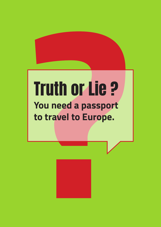### Truth or Lie ? **You need a passport to travel to Europe.**

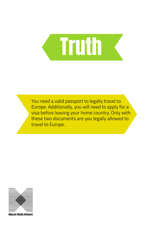

You need a valid passport to legally travel to Europe. Additionally, you will need to apply for a visa before leaving your home country. Only with these two documents are you legally allowed to travel to Europe.

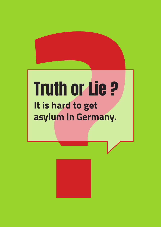### Truth or Lie ? **It is hard to get asylum in Germany.**

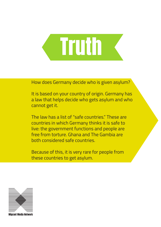## **Truth**

How does Germany decide who is given asylum?

It is based on your country of origin. Germany has a law that helps decide who gets asylum and who cannot get it.

The law has a list of "safe countries" These are countries in which Germany thinks it is safe to live: the government functions and people are free from torture. Ghana and The Gambia are both considered safe countries.

Because of this, it is very rare for people from these countries to get asylum.



Irant Media Networ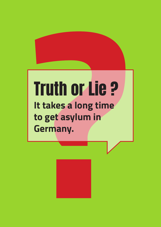### Truth or Lie ? **It takes a long time to get asylum in Germany.**